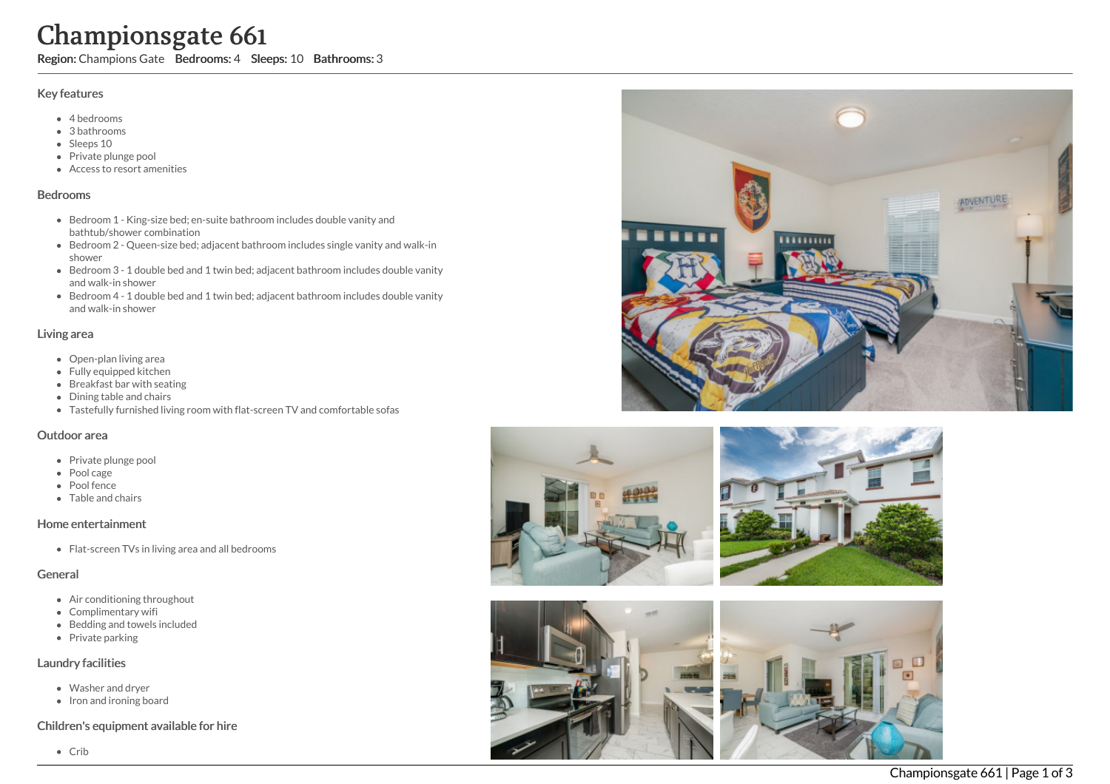# Championsgate 661

Region: Champions Gate Bedrooms: 4 Sleeps: 10 Bathrooms: 3

#### Key features

- 4 b e d r o o m s
- 3 b a t h r o o m s
- Sleeps 10
- Private plunge pool
- Access to resort amenities

#### **Bedrooms**

- Bedroom 1 King-size bed; en-suite bathroom includes double vanity and bathtub/shower combination
- Bedroom 2 Queen-size bed; adjacent bathroom includes single vanity and walk-in s h o w e r
- Bedroom 3 1 double bed and 1 twin bed; adjacent bathroom includes double vanity a n d w alk -in s h o w e r
- Bedroom 4 1 double bed and 1 twin bed; adjacent bathroom includes double vanity a n d w alk -in s h o w e r

#### Living area

- Open-plan living area
- Fully equipped kitchen
- Breakfast bar with seating
- Dining table and chairs
- Tastefully furnished living room with flat-screen TV and comfortable sofas

# Outdoor area

- Private plunge pool
- Pool cage
- Pool fence
- Table and chairs

# Home entertainment

Flat-screen TVs in living area and all bedrooms

# General

- Air conditioning throughout
- Complimentary wifi
- Bedding and towels in clu d e d
- Private parking

# Laundry facilities

- Washer and dryer
- Iron and ironing board

# Children's equipment available for hire







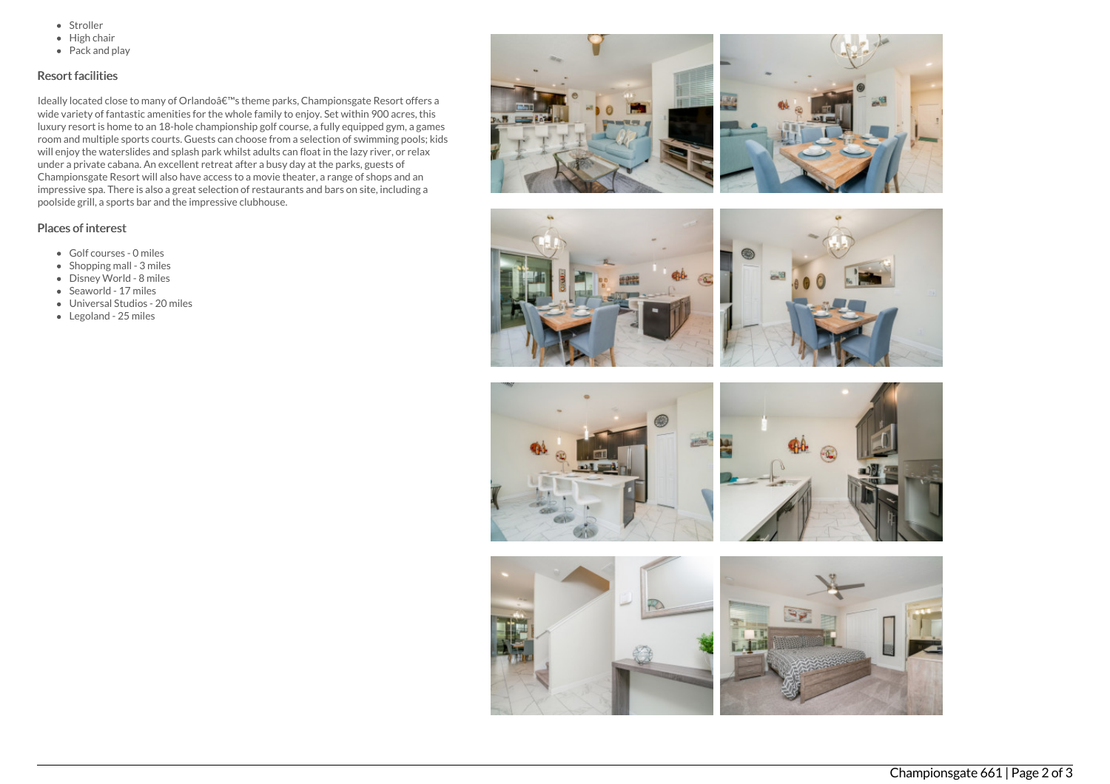- Stroller
- $\bullet$  High chair
- Pack and play

# Resort facilities

Ideally located close to many of Orlandoâ€<sup>™</sup>s theme parks, Championsgate Resort offers a wide variety of fantastic amenities for the whole family to enjoy. Set within 900 acres, this luxury resort is home to an 18-hole championship golf course, a fully equipped gym, a games room and multiple sports courts. Guests can choose from a selection of swimming pools; kids will enjoy the waterslides and splash park whilst adults can float in the lazy river, or relax under a private cabana. An excellent retreat after a busy day at the parks, guests of Championsgate Resort will also have access to a movie theater, a range of shops and an impressive spa. There is also a great selection of restaurants and bars on site, including a poolside grill, a sports bar and the impressive clubhouse.

# Places of interest

- Golf courses 0 miles
- $\bullet$  Shopping mall 3 miles
- Disney World 8 miles
- Seaworld 17 miles
- Universal Studios 20 miles
- Legoland 25 miles